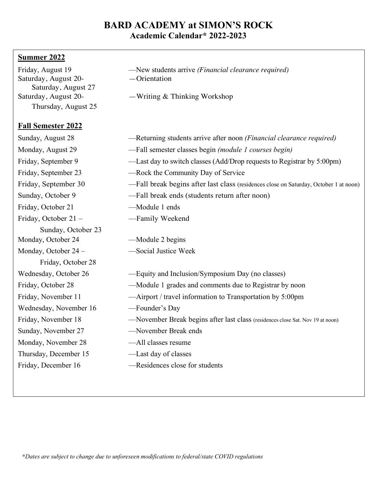## **BARD ACADEMY at SIMON'S ROCK Academic Calendar\* 2022-2023**

## **Summer 2022**

| Friday, August 19<br>Saturday, August 20- | -New students arrive (Financial clearance required)<br>$-$ Orientation                |
|-------------------------------------------|---------------------------------------------------------------------------------------|
| Saturday, August 27                       |                                                                                       |
| Saturday, August 20-                      | $-Writing \& Thinking Workshop$                                                       |
| Thursday, August 25                       |                                                                                       |
| <b>Fall Semester 2022</b>                 |                                                                                       |
| Sunday, August 28                         | -Returning students arrive after noon <i>(Financial clearance required)</i>           |
| Monday, August 29                         | -Fall semester classes begin (module 1 courses begin)                                 |
| Friday, September 9                       | —Last day to switch classes (Add/Drop requests to Registrar by 5:00pm)                |
| Friday, September 23                      | -Rock the Community Day of Service                                                    |
| Friday, September 30                      | -Fall break begins after last class (residences close on Saturday, October 1 at noon) |
| Sunday, October 9                         | -Fall break ends (students return after noon)                                         |
| Friday, October 21                        | -Module 1 ends                                                                        |
| Friday, October 21 -                      | -Family Weekend                                                                       |
| Sunday, October 23                        |                                                                                       |
| Monday, October 24                        | -Module 2 begins                                                                      |
| Monday, October 24 -                      | -Social Justice Week                                                                  |
| Friday, October 28                        |                                                                                       |
| Wednesday, October 26                     | -Equity and Inclusion/Symposium Day (no classes)                                      |
| Friday, October 28                        | -Module 1 grades and comments due to Registrar by noon                                |
| Friday, November 11                       | -Airport / travel information to Transportation by 5:00pm                             |
| Wednesday, November 16                    | -Founder's Day                                                                        |
| Friday, November 18                       | -November Break begins after last class (residences close Sat. Nov 19 at noon)        |
| Sunday, November 27                       | -November Break ends                                                                  |
| Monday, November 28                       | -All classes resume                                                                   |
| Thursday, December 15                     | -Last day of classes                                                                  |
| Friday, December 16                       | -Residences close for students                                                        |
|                                           |                                                                                       |